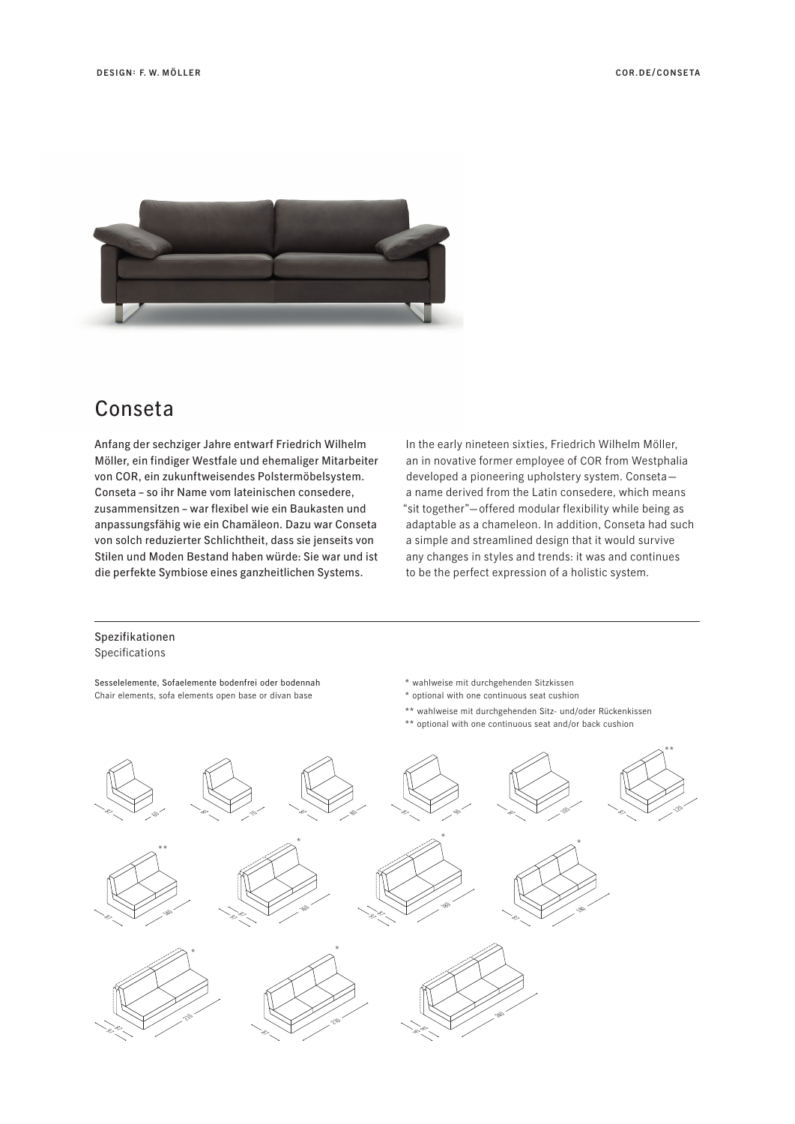

## Conseta

Anfang der sechziger Jahre entwarf Friedrich Wilhelm Möller, ein findiger Westfale und ehemaliger Mitarbeiter von COR, ein zukunftweisendes Polstermöbelsystem. Conseta – so ihr Name vom lateinischen consedere, zusammensitzen – war flexibel wie ein Baukasten und anpassungsfähig wie ein Chamäleon. Dazu war Conseta von solch reduzierter Schlichtheit, dass sie jenseits von Stilen und Moden Bestand haben würde: Sie war und ist die perfekte Symbiose eines ganzheitlichen Systems.

In the early nineteen sixties, Friedrich Wilhelm Möller, an in novative former employee of COR from Westphalia developed a pioneering upholstery system. Conseta a name derived from the Latin consedere, which means "sit together"—offered modular flexibility while being as adaptable as a chameleon. In addition, Conseta had such a simple and streamlined design that it would survive any changes in styles and trends: it was and continues to be the perfect expression of a holistic system.

## Spezifikationen Specifications

Sesselelemente, Sofaelemente bodenfrei oder bodennah Chair elements, sofa elements open base or divan base

- \* wahlweise mit durchgehenden Sitzkissen
- \* optional with one continuous seat cushion
- \*\* wahlweise mit durchgehenden Sitz- und/oder Rückenkissen
- \*\* optional with one continuous seat and/or back cushion

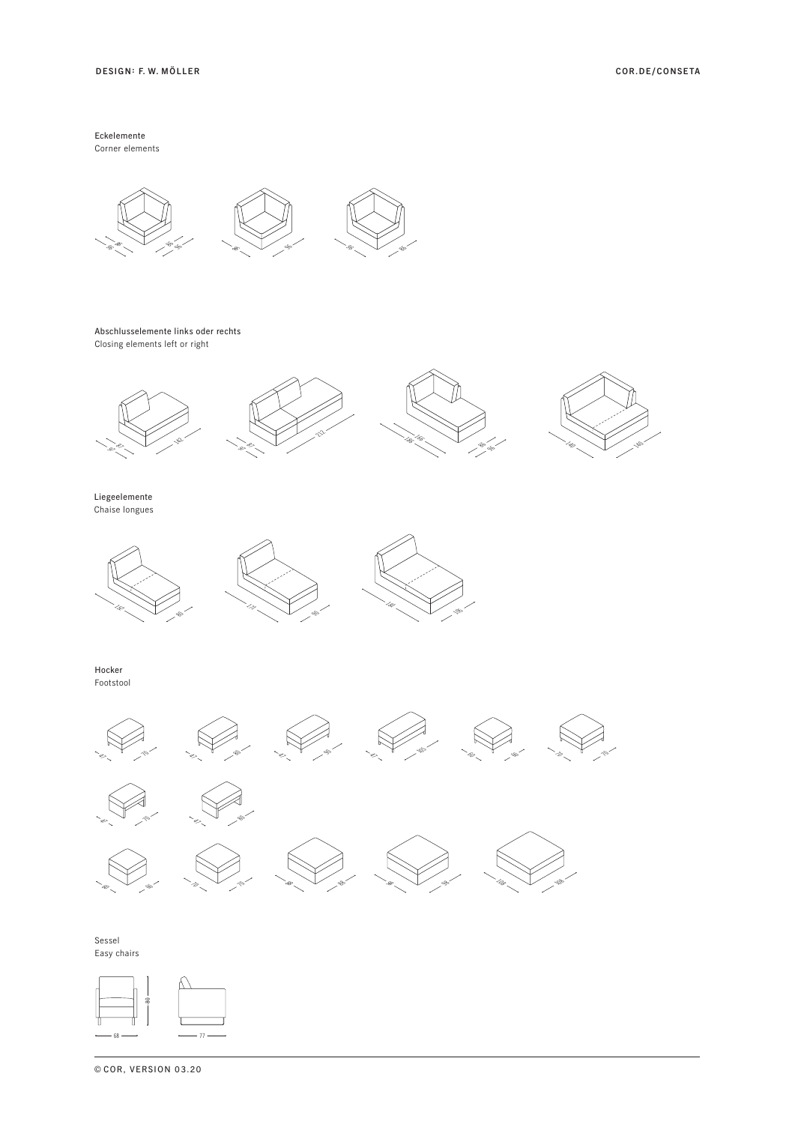Eckelemente Corner elements



Abschlusselemente links oder rechts Closing elements left or right









Liegeelemente Chaise longues







Hocker Footstool



Sessel Easy chairs



**©** COR, VERSION 03.20